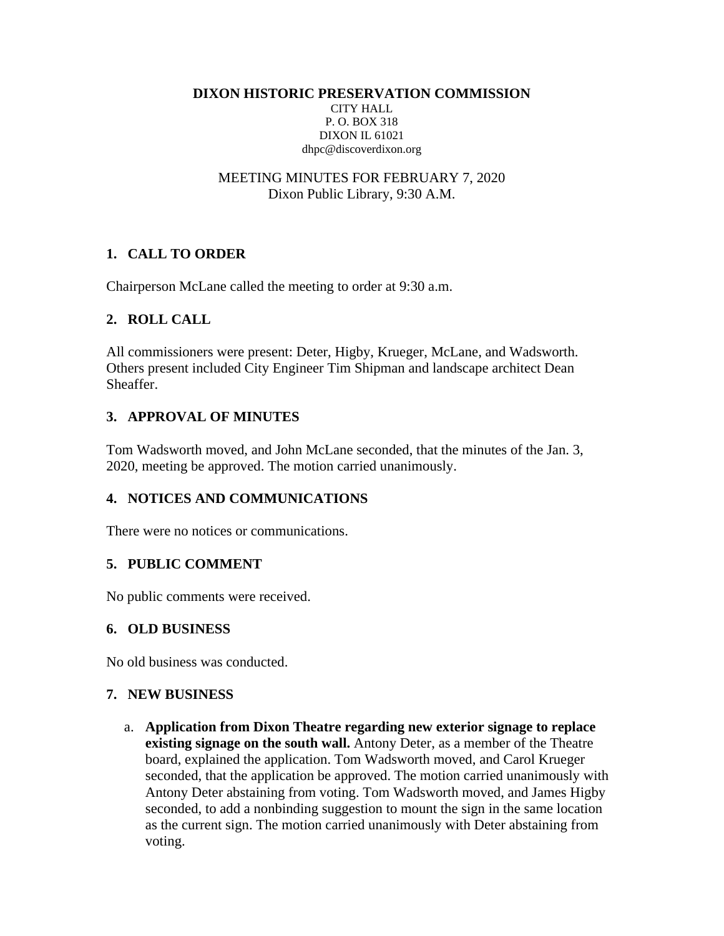**DIXON HISTORIC PRESERVATION COMMISSION** CITY HALL

P. O. BOX 318 DIXON IL 61021 dhpc@discoverdixon.org

MEETING MINUTES FOR FEBRUARY 7, 2020 Dixon Public Library, 9:30 A.M.

# **1. CALL TO ORDER**

Chairperson McLane called the meeting to order at 9:30 a.m.

## **2. ROLL CALL**

All commissioners were present: Deter, Higby, Krueger, McLane, and Wadsworth. Others present included City Engineer Tim Shipman and landscape architect Dean Sheaffer.

## **3. APPROVAL OF MINUTES**

Tom Wadsworth moved, and John McLane seconded, that the minutes of the Jan. 3, 2020, meeting be approved. The motion carried unanimously.

# **4. NOTICES AND COMMUNICATIONS**

There were no notices or communications.

### **5. PUBLIC COMMENT**

No public comments were received.

### **6. OLD BUSINESS**

No old business was conducted.

### **7. NEW BUSINESS**

a. **Application from Dixon Theatre regarding new exterior signage to replace existing signage on the south wall.** Antony Deter, as a member of the Theatre board, explained the application. Tom Wadsworth moved, and Carol Krueger seconded, that the application be approved. The motion carried unanimously with Antony Deter abstaining from voting. Tom Wadsworth moved, and James Higby seconded, to add a nonbinding suggestion to mount the sign in the same location as the current sign. The motion carried unanimously with Deter abstaining from voting.